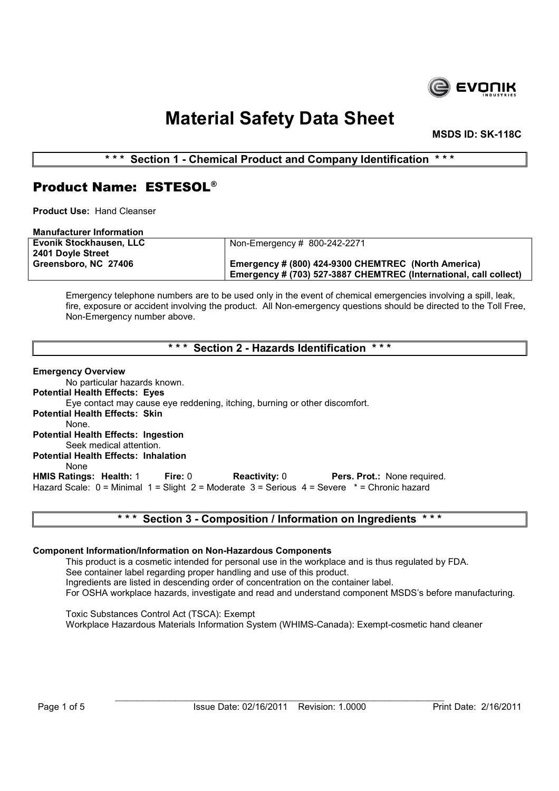

MSDS ID: SK-118C

\*\*\* Section 1 - Chemical Product and Company Identification \*\*\*

## Product Name: ESTESOL®

Product Use: Hand Cleanser

| <b>Manufacturer Information</b> |                                                                   |
|---------------------------------|-------------------------------------------------------------------|
| Evonik Stockhausen, LLC         | Non-Emergency # 800-242-2271                                      |
| 2401 Doyle Street               |                                                                   |
| Greensboro, NC 27406            | Emergency # (800) 424-9300 CHEMTREC (North America)               |
|                                 | Emergency # (703) 527-3887 CHEMTREC (International, call collect) |

Emergency telephone numbers are to be used only in the event of chemical emergencies involving a spill, leak, fire, exposure or accident involving the product. All Non-emergency questions should be directed to the Toll Free, Non-Emergency number above.

\*\*\* Section 2 - Hazards Identification \*\*\*

Emergency Overview No particular hazards known. Potential Health Effects: Eyes Eye contact may cause eye reddening, itching, burning or other discomfort. Potential Health Effects: Skin None. Potential Health Effects: Ingestion Seek medical attention. Potential Health Effects: Inhalation None<br>**HMIS Ratings: Health:** 1 Fire: 0 Reactivity: 0 Pers. Prot.: None required. Hazard Scale: 0 = Minimal 1 = Slight 2 = Moderate 3 = Serious 4 = Severe \* = Chronic hazard

### \*\*\* Section 3 - Composition / Information on Ingredients \*\*\*

### Component Information/Information on Non-Hazardous Components

This product is a cosmetic intended for personal use in the workplace and is thus regulated by FDA. See container label regarding proper handling and use of this product. Ingredients are listed in descending order of concentration on the container label. For OSHA workplace hazards, investigate and read and understand component MSDS's before manufacturing.

Toxic Substances Control Act (TSCA): Exempt Workplace Hazardous Materials Information System (WHIMS-Canada): Exempt-cosmetic hand cleaner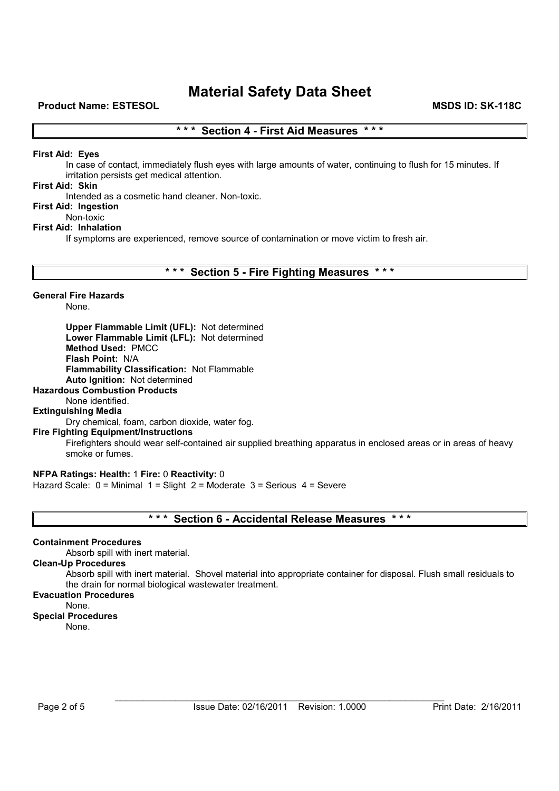### \*\*\* Section 4 - First Aid Measures \*\*\*

### First Aid: Eyes

In case of contact, immediately flush eyes with large amounts of water, continuing to flush for 15 minutes. If irritation persists get medical attention.

#### First Aid: Skin

Intended as a cosmetic hand cleaner. Non-toxic.

### First Aid: Ingestion

Non-toxic

### First Aid: Inhalation

If symptoms are experienced, remove source of contamination or move victim to fresh air.

### \*\*\* Section 5 - Fire Fighting Measures \*\*\*

### General Fire Hazards

None.

Upper Flammable Limit (UFL): Not determined Lower Flammable Limit (LFL): Not determined Method Used: PMCC Flash Point: N/A Flammability Classification: Not Flammable Auto Ignition: Not determined

### Hazardous Combustion Products

None identified.

#### Extinguishing Media

Dry chemical, foam, carbon dioxide, water fog.

#### Fire Fighting Equipment/Instructions

Firefighters should wear self-contained air supplied breathing apparatus in enclosed areas or in areas of heavy smoke or fumes.

#### NFPA Ratings: Health: 1 Fire: 0 Reactivity: 0

Hazard Scale: 0 = Minimal 1 = Slight 2 = Moderate 3 = Serious 4 = Severe

### \*\*\* Section 6 - Accidental Release Measures \*\*\*

#### Containment Procedures

Absorb spill with inert material.

### Clean-Up Procedures

Absorb spill with inert material. Shovel material into appropriate container for disposal. Flush small residuals to the drain for normal biological wastewater treatment.

## Evacuation Procedures

### None.

Special Procedures

None.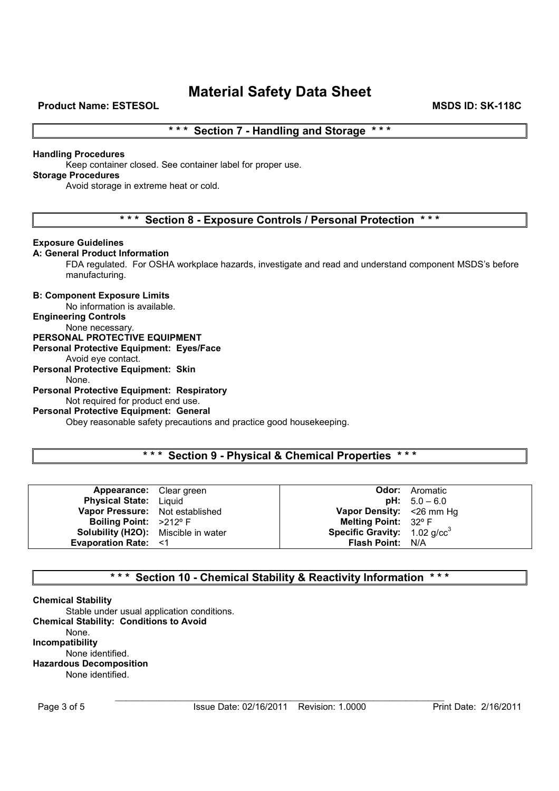### \*\*\* Section 7 - Handling and Storage \*\*\*

#### Handling Procedures

Keep container closed. See container label for proper use.

### Storage Procedures

Avoid storage in extreme heat or cold.

### \* \* \* Section 8 - Exposure Controls / Personal Protection \* \* \*

#### Exposure Guidelines

### A: General Product Information

FDA regulated. For OSHA workplace hazards, investigate and read and understand component MSDS's before manufacturing.

#### B: Component Exposure Limits

No information is available.

#### Engineering Controls

### None necessary.

### PERSONAL PROTECTIVE EQUIPMENT

Personal Protective Equipment: Eyes/Face

#### Avoid eye contact. Personal Protective Equipment: Skin

None.

### Personal Protective Equipment: Respiratory

Not required for product end use.

### Personal Protective Equipment: General

Obey reasonable safety precautions and practice good housekeeping.

### \*\*\* Section 9 - Physical & Chemical Properties \*\*\*

| <b>Appearance:</b> Clear green             |                                            | <b>Odor:</b> Aromatic |
|--------------------------------------------|--------------------------------------------|-----------------------|
|                                            |                                            |                       |
| <b>Physical State:</b> Liquid              |                                            | $pH: 5.0 - 6.0$       |
| Vapor Pressure: Not established            | Vapor Density: < 26 mm Hg                  |                       |
| Boiling Point: >212° F                     | Melting Point: $32^{\circ}$ F              |                       |
| <b>Solubility (H2O):</b> Miscible in water | <b>Specific Gravity:</b> 1.02 $q$ / $cc^3$ |                       |
| <b>Evaporation Rate: &lt;1</b>             | <b>Flash Point: N/A</b>                    |                       |

### \* \* \* Section 10 - Chemical Stability & Reactivity Information \* \* \*

#### Chemical Stability

Stable under usual application conditions. Chemical Stability: Conditions to Avoid None. Incompatibility None identified. Hazardous Decomposition None identified.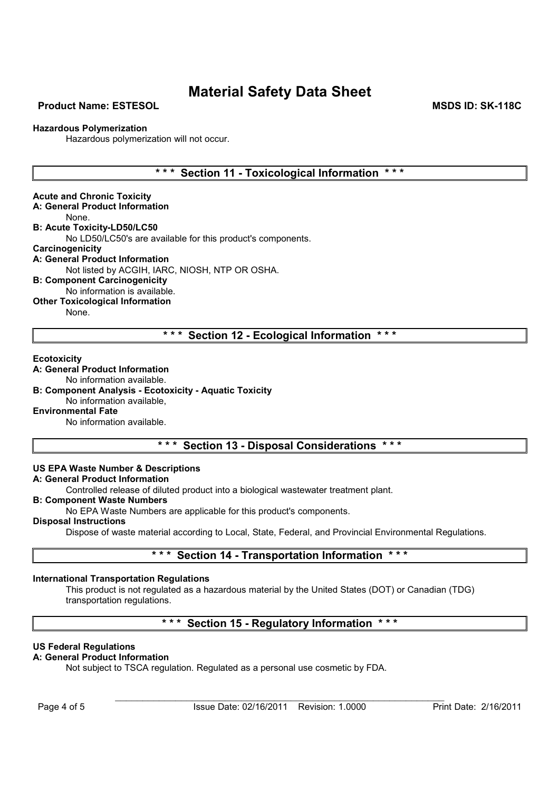### Product Name: ESTESOL MSDS ID: SK-118C

#### Hazardous Polymerization

Hazardous polymerization will not occur.

### \*\*\* Section 11 - Toxicological Information \*\*\*

Acute and Chronic Toxicity A: General Product Information None. B: Acute Toxicity-LD50/LC50 No LD50/LC50's are available for this product's components. **Carcinogenicity** A: General Product Information Not listed by ACGIH, IARC, NIOSH, NTP OR OSHA. B: Component Carcinogenicity No information is available.

Other Toxicological Information

None.

### \*\*\* Section 12 - Ecological Information \*\*\*

#### **Ecotoxicity**

A: General Product Information

No information available.

B: Component Analysis - Ecotoxicity - Aquatic Toxicity

### No information available,

Environmental Fate

No information available.

### \*\*\* Section 13 - Disposal Considerations \*\*\*

#### US EPA Waste Number & Descriptions

### A: General Product Information

Controlled release of diluted product into a biological wastewater treatment plant.

### B: Component Waste Numbers

No EPA Waste Numbers are applicable for this product's components.

Disposal Instructions

Dispose of waste material according to Local, State, Federal, and Provincial Environmental Regulations.

### \*\*\* Section 14 - Transportation Information \*\*\*

#### International Transportation Regulations

This product is not regulated as a hazardous material by the United States (DOT) or Canadian (TDG) transportation regulations.

### \*\*\* Section 15 - Regulatory Information \*\*\*

#### US Federal Regulations

#### A: General Product Information

Not subject to TSCA regulation. Regulated as a personal use cosmetic by FDA.